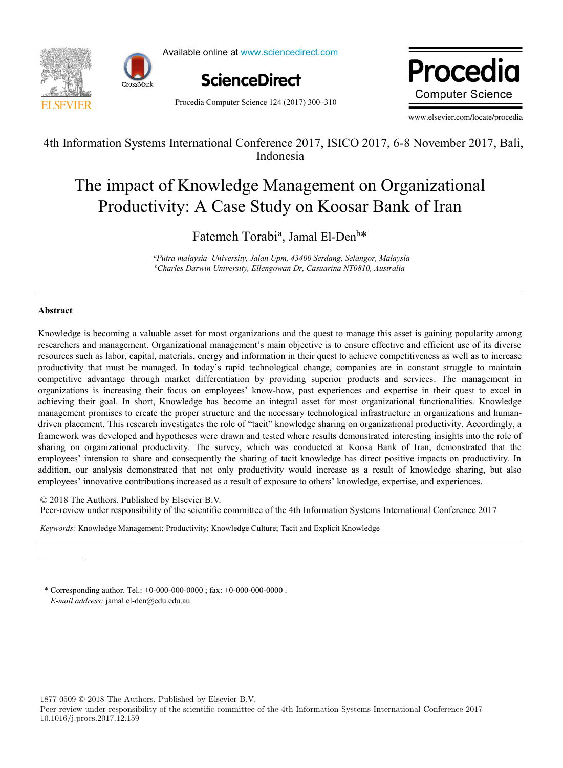



Available online at www.sciencedirect.com



Procedia Computer Science 124 (2017) 300–310

Drocadia ww.edic **Computer Science** 

www.elsevier.com/locate/procedia

# $44 \text{ L} \text{C}$   $\therefore$   $\text{C}$   $\downarrow$   $\text{L}$   $\downarrow$   $\therefore$  1.2  $\text{C}$   $\therefore$  2017, IGUGO 2017, 6.9 November 2017, Bali, 4th Information Systems International Conference 2017, ISICO 2017, 6-8 November 2017, Bali, Indonesia

# The impact of Knowledge Management on Organizational Productivity: A Case Study on Koosar Bank of Iran The impact of Knowledge Management on Organizational Productivity: A Case Study on Koosar Bank of Iran

Fatemeh Torabi<sup>a</sup>, Jamal El-Den<sup>b\*</sup>

<sup>a</sup>Putra malaysia University, Jalan Upm, 43400 Serdang, Selangor, Malaysia *b Charles Darwin University, Ellengowan Dr, Casuarina NT0810, Australia*

# **Abstract**

Knowledge is becoming a valuable asset for most organizations and the quest to manage this asset is gaining popularity among researchers and management. Organizational management's main objective is to ensure effective and efficient use of its diverse resources such as labor, capital, materials, energy and information in their quest to achieve competitiveness as well as to increase productivity that must be managed. In today's rapid technological change, companies are in constant struggle to maintain competitive advantage through market differentiation by providing superior products and services. The management in organizations is increasing their focus on employees' know-how, past experiences and expertise in their quest to excel in achieving their goal. In short, Knowledge has become an integral asset for most organizational functionalities. Knowledge management promises to create the proper structure and the necessary technological infrastructure in organizations and humandriven placement. This research investigates the role of "tacit" knowledge sharing on organizational productivity. Accordingly, a framework was developed and hypotheses were drawn and tested where results demonstrated interesting insights into the role of sharing on organizational productivity. The survey, which was conducted at Koosa Bank of Iran, demonstrated that the employees' intension to share and consequently the sharing of tacit knowledge has direct positive impacts on productivity. In addition, our analysis demonstrated that not only productivity would increase as a result of knowledge sharing, but also employees' innovative contributions increased as a result of exposure to others' knowledge, expertise, and experiences.

© 2018 The Authors. Published by Elsevier B.V. E 2018 The Additions. Fubrished by Eisevier B.V.<br>Peer-review under responsibility of the scientific committee of the 4th Information Systems International Conference 2017 Peer-review under responsibility of the scientific committee of the 4th Information Systems International Conference 2017.

*Keywords:* Knowledge Management; Productivity; Knowledge Culture; Tacit and Explicit Knowledge

\* Corresponding author. Tel.: +0-000-000-0000 ; fax: +0-000-000-0000 . *E-mail address:* jamal.el-den@cdu.edu.au

1877-0509 © 2018 The Authors. Published by Elsevier B.V.

Peer-review under responsibility of the scientific committee of the 4th Information Systems International Conference 2017 10.1016/j.procs.2017.12.159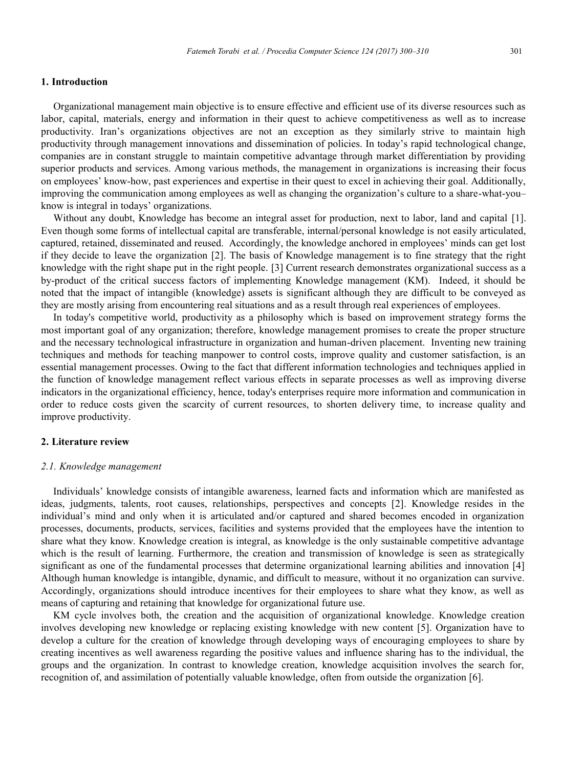#### **1. Introduction**

Organizational management main objective is to ensure effective and efficient use of its diverse resources such as labor, capital, materials, energy and information in their quest to achieve competitiveness as well as to increase productivity. Iran's organizations objectives are not an exception as they similarly strive to maintain high productivity through management innovations and dissemination of policies. In today's rapid technological change, companies are in constant struggle to maintain competitive advantage through market differentiation by providing superior products and services. Among various methods, the management in organizations is increasing their focus on employees' know-how, past experiences and expertise in their quest to excel in achieving their goal. Additionally, improving the communication among employees as well as changing the organization's culture to a share-what-you– know is integral in todays' organizations.

Without any doubt, Knowledge has become an integral asset for production, next to labor, land and capital [1]. Even though some forms of intellectual capital are transferable, internal/personal knowledge is not easily articulated, captured, retained, disseminated and reused. Accordingly, the knowledge anchored in employees' minds can get lost if they decide to leave the organization [2]. The basis of Knowledge management is to fine strategy that the right knowledge with the right shape put in the right people. [3] Current research demonstrates organizational success as a by-product of the critical success factors of implementing Knowledge management (KM). Indeed, it should be noted that the impact of intangible (knowledge) assets is significant although they are difficult to be conveyed as they are mostly arising from encountering real situations and as a result through real experiences of employees.

In today's competitive world, productivity as a philosophy which is based on improvement strategy forms the most important goal of any organization; therefore, knowledge management promises to create the proper structure and the necessary technological infrastructure in organization and human-driven placement. Inventing new training techniques and methods for teaching manpower to control costs, improve quality and customer satisfaction, is an essential management processes. Owing to the fact that different information technologies and techniques applied in the function of knowledge management reflect various effects in separate processes as well as improving diverse indicators in the organizational efficiency, hence, today's enterprises require more information and communication in order to reduce costs given the scarcity of current resources, to shorten delivery time, to increase quality and improve productivity.

# **2. Literature review**

### *2.1. Knowledge management*

Individuals' knowledge consists of intangible awareness, learned facts and information which are manifested as ideas, judgments, talents, root causes, relationships, perspectives and concepts [2]. Knowledge resides in the individual's mind and only when it is articulated and/or captured and shared becomes encoded in organization processes, documents, products, services, facilities and systems provided that the employees have the intention to share what they know. Knowledge creation is integral, as knowledge is the only sustainable competitive advantage which is the result of learning. Furthermore, the creation and transmission of knowledge is seen as strategically significant as one of the fundamental processes that determine organizational learning abilities and innovation [4] Although human knowledge is intangible, dynamic, and difficult to measure, without it no organization can survive. Accordingly, organizations should introduce incentives for their employees to share what they know, as well as means of capturing and retaining that knowledge for organizational future use.

KM cycle involves both, the creation and the acquisition of organizational knowledge. Knowledge creation involves developing new knowledge or replacing existing knowledge with new content [5]. Organization have to develop a culture for the creation of knowledge through developing ways of encouraging employees to share by creating incentives as well awareness regarding the positive values and influence sharing has to the individual, the groups and the organization. In contrast to knowledge creation, knowledge acquisition involves the search for, recognition of, and assimilation of potentially valuable knowledge, often from outside the organization [6].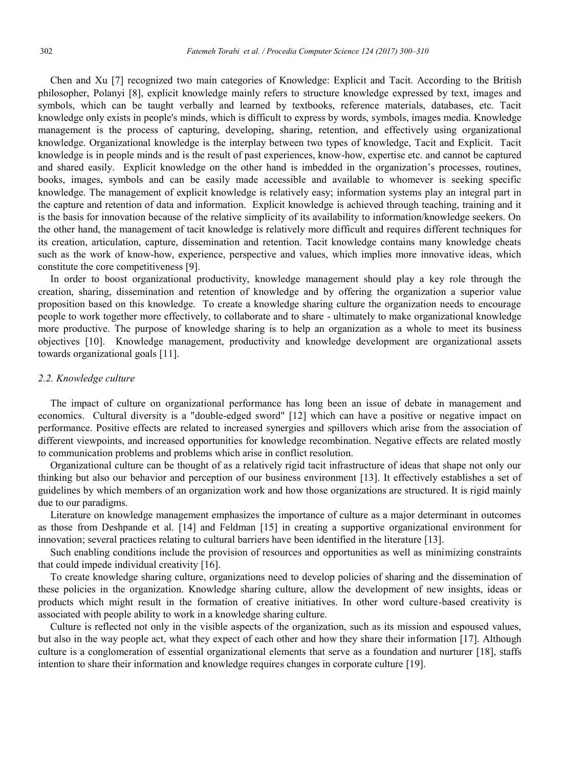Chen and Xu [7] recognized two main categories of Knowledge: Explicit and Tacit. According to the British philosopher, Polanyi [8], explicit knowledge mainly refers to structure knowledge expressed by text, images and symbols, which can be taught verbally and learned by textbooks, reference materials, databases, etc. Tacit knowledge only exists in people's minds, which is difficult to express by words, symbols, images media. Knowledge management is the process of capturing, developing, sharing, retention, and effectively using organizational knowledge. Organizational knowledge is the interplay between two types of knowledge, Tacit and Explicit. Tacit knowledge is in people minds and is the result of past experiences, know-how, expertise etc. and cannot be captured and shared easily. Explicit knowledge on the other hand is imbedded in the organization's processes, routines, books, images, symbols and can be easily made accessible and available to whomever is seeking specific knowledge. The management of explicit knowledge is relatively easy; information systems play an integral part in the capture and retention of data and information. Explicit knowledge is achieved through teaching, training and it is the basis for innovation because of the relative simplicity of its availability to information/knowledge seekers. On the other hand, the management of tacit knowledge is relatively more difficult and requires different techniques for its creation, articulation, capture, dissemination and retention. Tacit knowledge contains many knowledge cheats such as the work of know-how, experience, perspective and values, which implies more innovative ideas, which constitute the core competitiveness [9].

In order to boost organizational productivity, knowledge management should play a key role through the creation, sharing, dissemination and retention of knowledge and by offering the organization a superior value proposition based on this knowledge. To create a knowledge sharing culture the organization needs to encourage people to work together more effectively, to collaborate and to share - ultimately to make organizational knowledge more productive. The purpose of knowledge sharing is to help an organization as a whole to meet its business objectives [10]. Knowledge management, productivity and knowledge development are organizational assets towards organizational goals [11].

#### *2.2. Knowledge culture*

The impact of culture on organizational performance has long been an issue of debate in management and economics. Cultural diversity is a "double-edged sword" [12] which can have a positive or negative impact on performance. Positive effects are related to increased synergies and spillovers which arise from the association of different viewpoints, and increased opportunities for knowledge recombination. Negative effects are related mostly to communication problems and problems which arise in conflict resolution.

Organizational culture can be thought of as a relatively rigid tacit infrastructure of ideas that shape not only our thinking but also our behavior and perception of our business environment [13]. It effectively establishes a set of guidelines by which members of an organization work and how those organizations are structured. It is rigid mainly due to our paradigms.

Literature on knowledge management emphasizes the importance of culture as a major determinant in outcomes as those from Deshpande et al. [14] and Feldman [15] in creating a supportive organizational environment for innovation; several practices relating to cultural barriers have been identified in the literature [13].

Such enabling conditions include the provision of resources and opportunities as well as minimizing constraints that could impede individual creativity [16].

To create knowledge sharing culture, organizations need to develop policies of sharing and the dissemination of these policies in the organization. Knowledge sharing culture, allow the development of new insights, ideas or products which might result in the formation of creative initiatives. In other word culture-based creativity is associated with people ability to work in a knowledge sharing culture.

Culture is reflected not only in the visible aspects of the organization, such as its mission and espoused values, but also in the way people act, what they expect of each other and how they share their information [17]. Although culture is a conglomeration of essential organizational elements that serve as a foundation and nurturer [18], staffs intention to share their information and knowledge requires changes in corporate culture [19].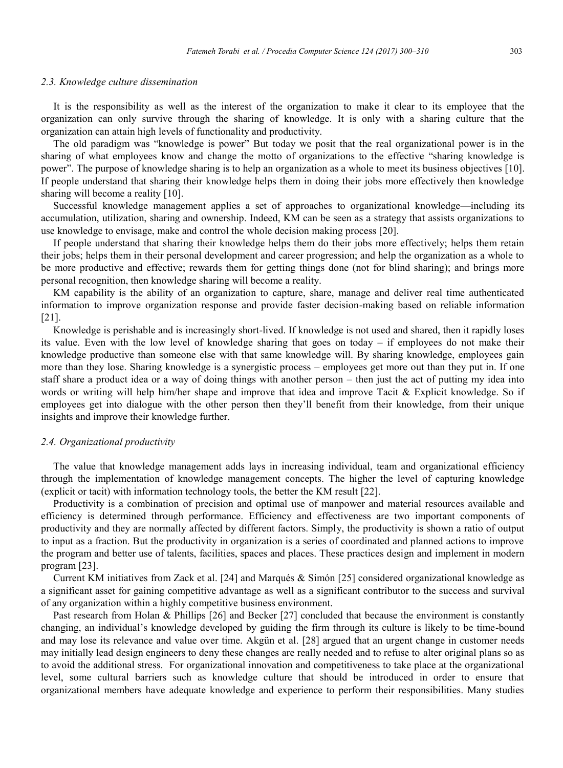# *2.3. Knowledge culture dissemination*

It is the responsibility as well as the interest of the organization to make it clear to its employee that the organization can only survive through the sharing of knowledge. It is only with a sharing culture that the organization can attain high levels of functionality and productivity.

The old paradigm was "knowledge is power" But today we posit that the real organizational power is in the sharing of what employees know and change the motto of organizations to the effective "sharing knowledge is power". The purpose of knowledge sharing is to help an organization as a whole to meet its business objectives [10]. If people understand that sharing their knowledge helps them in doing their jobs more effectively then knowledge sharing will become a reality [10].

Successful knowledge management applies a set of approaches to organizational knowledge—including its accumulation, utilization, sharing and ownership. Indeed, KM can be seen as a strategy that assists organizations to use knowledge to envisage, make and control the whole decision making process [20].

If people understand that sharing their knowledge helps them do their jobs more effectively; helps them retain their jobs; helps them in their personal development and career progression; and help the organization as a whole to be more productive and effective; rewards them for getting things done (not for blind sharing); and brings more personal recognition, then knowledge sharing will become a reality.

KM capability is the ability of an organization to capture, share, manage and deliver real time authenticated information to improve organization response and provide faster decision-making based on reliable information [21].

Knowledge is perishable and is increasingly short-lived. If knowledge is not used and shared, then it rapidly loses its value. Even with the low level of knowledge sharing that goes on today – if employees do not make their knowledge productive than someone else with that same knowledge will. By sharing knowledge, employees gain more than they lose. Sharing knowledge is a synergistic process – employees get more out than they put in. If one staff share a product idea or a way of doing things with another person – then just the act of putting my idea into words or writing will help him/her shape and improve that idea and improve Tacit & Explicit knowledge. So if employees get into dialogue with the other person then they'll benefit from their knowledge, from their unique insights and improve their knowledge further.

## *2.4. Organizational productivity*

The value that knowledge management adds lays in increasing individual, team and organizational efficiency through the implementation of knowledge management concepts. The higher the level of capturing knowledge (explicit or tacit) with information technology tools, the better the KM result [22].

Productivity is a combination of precision and optimal use of manpower and material resources available and efficiency is determined through performance. Efficiency and effectiveness are two important components of productivity and they are normally affected by different factors. Simply, the productivity is shown a ratio of output to input as a fraction. But the productivity in organization is a series of coordinated and planned actions to improve the program and better use of talents, facilities, spaces and places. These practices design and implement in modern program [23].

Current KM initiatives from Zack et al. [24] and Marqués & Simón [25] considered organizational knowledge as a significant asset for gaining competitive advantage as well as a significant contributor to the success and survival of any organization within a highly competitive business environment.

Past research from Holan & Phillips [26] and Becker [27] concluded that because the environment is constantly changing, an individual's knowledge developed by guiding the firm through its culture is likely to be time-bound and may lose its relevance and value over time. Akgün et al. [28] argued that an urgent change in customer needs may initially lead design engineers to deny these changes are really needed and to refuse to alter original plans so as to avoid the additional stress. For organizational innovation and competitiveness to take place at the organizational level, some cultural barriers such as knowledge culture that should be introduced in order to ensure that organizational members have adequate knowledge and experience to perform their responsibilities. Many studies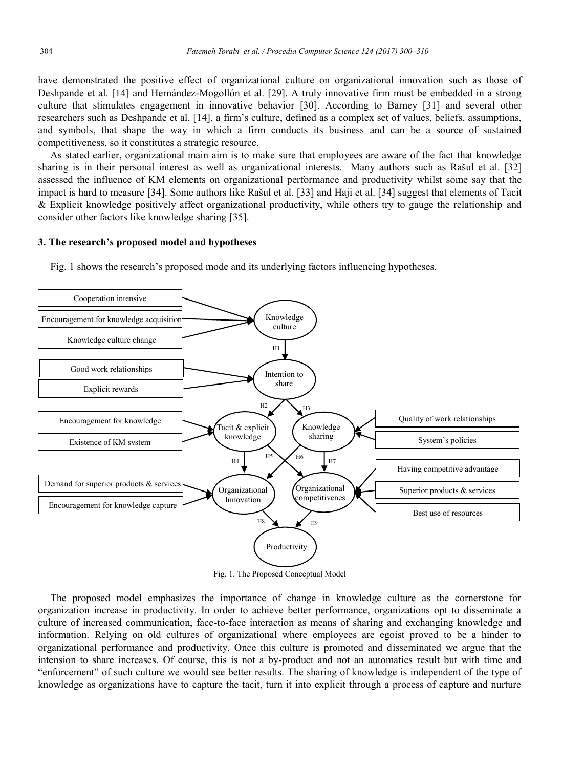have demonstrated the positive effect of organizational culture on organizational innovation such as those of Deshpande et al. [14] and Hernández-Mogollón et al. [29]. A truly innovative firm must be embedded in a strong culture that stimulates engagement in innovative behavior [30]. According to Barney [31] and several other researchers such as Deshpande et al. [14], a firm's culture, defined as a complex set of values, beliefs, assumptions, and symbols, that shape the way in which a firm conducts its business and can be a source of sustained competitiveness, so it constitutes a strategic resource.

As stated earlier, organizational main aim is to make sure that employees are aware of the fact that knowledge sharing is in their personal interest as well as organizational interests. Many authors such as Rašul et al. [32] assessed the influence of KM elements on organizational performance and productivity whilst some say that the impact is hard to measure [34]. Some authors like Rašul et al. [33] and Haji et al. [34] suggest that elements of Tacit & Explicit knowledge positively affect organizational productivity, while others try to gauge the relationship and consider other factors like knowledge sharing [35].

## **3. The research's proposed model and hypotheses**



Fig. 1 shows the research's proposed mode and its underlying factors influencing hypotheses.

Fig. 1. The Proposed Conceptual Model

The proposed model emphasizes the importance of change in knowledge culture as the cornerstone for organization increase in productivity. In order to achieve better performance, organizations opt to disseminate a culture of increased communication, face-to-face interaction as means of sharing and exchanging knowledge and information. Relying on old cultures of organizational where employees are egoist proved to be a hinder to organizational performance and productivity. Once this culture is promoted and disseminated we argue that the intension to share increases. Of course, this is not a by-product and not an automatics result but with time and "enforcement" of such culture we would see better results. The sharing of knowledge is independent of the type of knowledge as organizations have to capture the tacit, turn it into explicit through a process of capture and nurture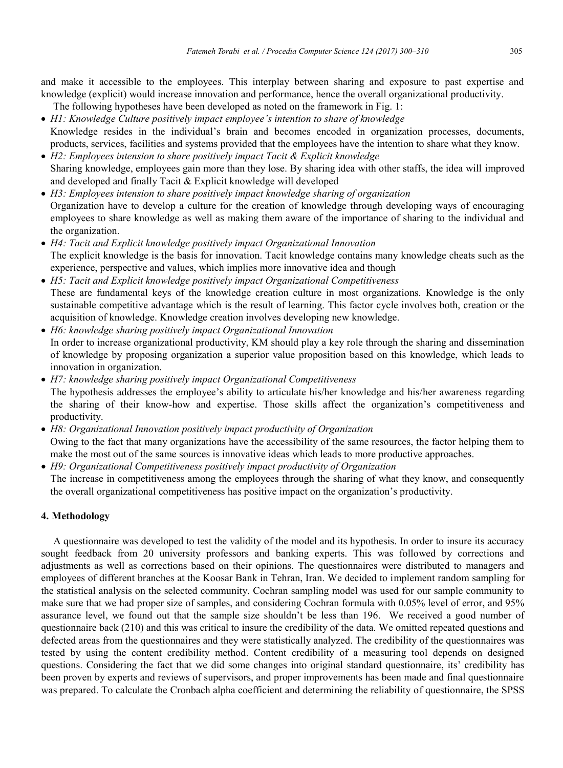and make it accessible to the employees. This interplay between sharing and exposure to past expertise and knowledge (explicit) would increase innovation and performance, hence the overall organizational productivity.

The following hypotheses have been developed as noted on the framework in Fig. 1:

- *H1: Knowledge Culture positively impact employee's intention to share of knowledge* Knowledge resides in the individual's brain and becomes encoded in organization processes, documents, products, services, facilities and systems provided that the employees have the intention to share what they know.
- *H2: Employees intension to share positively impact Tacit & Explicit knowledge* Sharing knowledge, employees gain more than they lose. By sharing idea with other staffs, the idea will improved and developed and finally Tacit & Explicit knowledge will developed
- *H3: Employees intension to share positively impact knowledge sharing of organization* Organization have to develop a culture for the creation of knowledge through developing ways of encouraging employees to share knowledge as well as making them aware of the importance of sharing to the individual and the organization.
- *H4: Tacit and Explicit knowledge positively impact Organizational Innovation* The explicit knowledge is the basis for innovation. Tacit knowledge contains many knowledge cheats such as the experience, perspective and values, which implies more innovative idea and though
- *H5: Tacit and Explicit knowledge positively impact Organizational Competitiveness* These are fundamental keys of the knowledge creation culture in most organizations. Knowledge is the only sustainable competitive advantage which is the result of learning. This factor cycle involves both, creation or the acquisition of knowledge. Knowledge creation involves developing new knowledge.
- *H6: knowledge sharing positively impact Organizational Innovation*  In order to increase organizational productivity, KM should play a key role through the sharing and dissemination of knowledge by proposing organization a superior value proposition based on this knowledge, which leads to innovation in organization.
- *H7: knowledge sharing positively impact Organizational Competitiveness* The hypothesis addresses the employee's ability to articulate his/her knowledge and his/her awareness regarding the sharing of their know-how and expertise. Those skills affect the organization's competitiveness and productivity.
- *H8: Organizational Innovation positively impact productivity of Organization* Owing to the fact that many organizations have the accessibility of the same resources, the factor helping them to make the most out of the same sources is innovative ideas which leads to more productive approaches.
- *H9: Organizational Competitiveness positively impact productivity of Organization* The increase in competitiveness among the employees through the sharing of what they know, and consequently the overall organizational competitiveness has positive impact on the organization's productivity.

# **4. Methodology**

A questionnaire was developed to test the validity of the model and its hypothesis. In order to insure its accuracy sought feedback from 20 university professors and banking experts. This was followed by corrections and adjustments as well as corrections based on their opinions. The questionnaires were distributed to managers and employees of different branches at the Koosar Bank in Tehran, Iran. We decided to implement random sampling for the statistical analysis on the selected community. Cochran sampling model was used for our sample community to make sure that we had proper size of samples, and considering Cochran formula with 0.05% level of error, and 95% assurance level, we found out that the sample size shouldn't be less than 196. We received a good number of questionnaire back (210) and this was critical to insure the credibility of the data. We omitted repeated questions and defected areas from the questionnaires and they were statistically analyzed. The credibility of the questionnaires was tested by using the content credibility method. Content credibility of a measuring tool depends on designed questions. Considering the fact that we did some changes into original standard questionnaire, its' credibility has been proven by experts and reviews of supervisors, and proper improvements has been made and final questionnaire was prepared. To calculate the Cronbach alpha coefficient and determining the reliability of questionnaire, the SPSS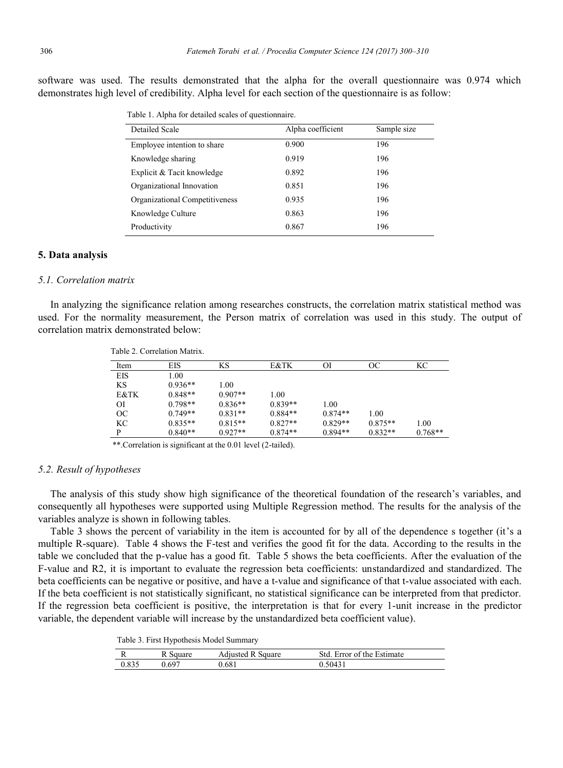software was used. The results demonstrated that the alpha for the overall questionnaire was 0.974 which demonstrates high level of credibility. Alpha level for each section of the questionnaire is as follow:

|  |  |  | Table 1. Alpha for detailed scales of questionnaire. |  |
|--|--|--|------------------------------------------------------|--|
|  |  |  |                                                      |  |

| Detailed Scale                 | Alpha coefficient | Sample size |
|--------------------------------|-------------------|-------------|
| Employee intention to share    | 0.900             | 196         |
| Knowledge sharing              | 0.919             | 196         |
| Explicit & Tacit knowledge     | 0.892             | 196         |
| Organizational Innovation      | 0.851             | 196         |
| Organizational Competitiveness | 0.935             | 196         |
| Knowledge Culture              | 0.863             | 196         |
| Productivity                   | 0.867             | 196         |

# **5. Data analysis**

#### *5.1. Correlation matrix*

In analyzing the significance relation among researches constructs, the correlation matrix statistical method was used. For the normality measurement, the Person matrix of correlation was used in this study. The output of correlation matrix demonstrated below:

| Table 2. Correlation Matrix. |  |
|------------------------------|--|
|------------------------------|--|

| Item       | EIS       | ΚS        | <b>E&amp;TK</b> | ОI        | OС        | KС        |
|------------|-----------|-----------|-----------------|-----------|-----------|-----------|
| <b>EIS</b> | 1.00      |           |                 |           |           |           |
| KS         | $0.936**$ | 1.00      |                 |           |           |           |
| E&TK       | $0.848**$ | $0.907**$ | 1.00            |           |           |           |
| ΟI         | $0.798**$ | $0.836**$ | $0.839**$       | 1.00      |           |           |
| OC         | $0.749**$ | $0.831**$ | $0.884**$       | $0.874**$ | 1.00      |           |
| KC         | $0.835**$ | $0.815**$ | $0.827**$       | $0.829**$ | $0.875**$ | 1.00      |
| D          | $0.840**$ | $0.927**$ | $0.874**$       | $0.894**$ | $0.832**$ | $0.768**$ |

\*\*.Correlation is significant at the 0.01 level (2-tailed).

#### *5.2. Result of hypotheses*

The analysis of this study show high significance of the theoretical foundation of the research's variables, and consequently all hypotheses were supported using Multiple Regression method. The results for the analysis of the variables analyze is shown in following tables.

Table 3 shows the percent of variability in the item is accounted for by all of the dependence s together (it's a multiple R-square). Table 4 shows the F-test and verifies the good fit for the data. According to the results in the table we concluded that the p-value has a good fit. Table 5 shows the beta coefficients. After the evaluation of the F-value and R2, it is important to evaluate the regression beta coefficients: unstandardized and standardized. The beta coefficients can be negative or positive, and have a t-value and significance of that t-value associated with each. If the beta coefficient is not statistically significant, no statistical significance can be interpreted from that predictor. If the regression beta coefficient is positive, the interpretation is that for every 1-unit increase in the predictor variable, the dependent variable will increase by the unstandardized beta coefficient value).

Table 3. First Hypothesis Model Summary

| л     | $\overline{\mathbf{r}}$ | Square<br>ĸ<br>Adjusted<br>$\overline{\phantom{a}}$ | Error of the Estimate<br>Std. |  |
|-------|-------------------------|-----------------------------------------------------|-------------------------------|--|
| በ ጸ35 |                         | .681                                                |                               |  |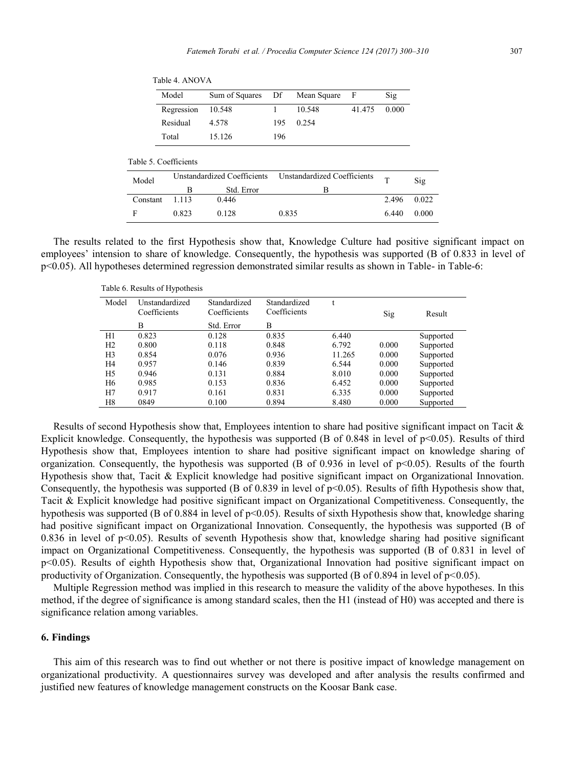|                       | Model      | Sum of Squares              | Df  | Mean Square                 | F      | Sig   |       |
|-----------------------|------------|-----------------------------|-----|-----------------------------|--------|-------|-------|
|                       | Regression | 10.548                      |     | 10.548                      | 41.475 | 0.000 |       |
|                       | Residual   | 4.578                       | 195 | 0.254                       |        |       |       |
|                       | Total      | 15.126                      | 196 |                             |        |       |       |
|                       |            |                             |     |                             |        |       |       |
| Table 5. Coefficients |            | Unstandardized Coefficients |     | Unstandardized Coefficients |        |       |       |
| Model                 | R          | Std. Error                  |     | В                           |        | T     | Sig   |
| Constant              | 1.113      | 0.446                       |     |                             |        | 2.496 | 0.022 |

Table 4. ANOVA

The results related to the first Hypothesis show that, Knowledge Culture had positive significant impact on employees' intension to share of knowledge. Consequently, the hypothesis was supported (B of 0.833 in level of p<0.05). All hypotheses determined regression demonstrated similar results as shown in Table- in Table-6:

Table 6. Results of Hypothesis

| Model | Unstandardized<br>Coefficients | Standardized<br>Coefficients | Standardized<br>Coefficients |        | Sig   | Result    |
|-------|--------------------------------|------------------------------|------------------------------|--------|-------|-----------|
|       | B                              | Std. Error                   | B                            |        |       |           |
| H1    | 0.823                          | 0.128                        | 0.835                        | 6.440  |       | Supported |
| H2    | 0.800                          | 0.118                        | 0.848                        | 6.792  | 0.000 | Supported |
| H3    | 0.854                          | 0.076                        | 0.936                        | 11.265 | 0.000 | Supported |
| H4    | 0.957                          | 0.146                        | 0.839                        | 6.544  | 0.000 | Supported |
| H5    | 0.946                          | 0.131                        | 0.884                        | 8.010  | 0.000 | Supported |
| H6    | 0.985                          | 0.153                        | 0.836                        | 6.452  | 0.000 | Supported |
| H7    | 0.917                          | 0.161                        | 0.831                        | 6.335  | 0.000 | Supported |
| H8    | 0849                           | 0.100                        | 0.894                        | 8.480  | 0.000 | Supported |

Results of second Hypothesis show that, Employees intention to share had positive significant impact on Tacit & Explicit knowledge. Consequently, the hypothesis was supported (B of 0.848 in level of p<0.05). Results of third Hypothesis show that, Employees intention to share had positive significant impact on knowledge sharing of organization. Consequently, the hypothesis was supported (B of 0.936 in level of p<0.05). Results of the fourth Hypothesis show that, Tacit & Explicit knowledge had positive significant impact on Organizational Innovation. Consequently, the hypothesis was supported (B of 0.839 in level of  $p<0.05$ ). Results of fifth Hypothesis show that, Tacit & Explicit knowledge had positive significant impact on Organizational Competitiveness. Consequently, the hypothesis was supported (B of 0.884 in level of p<0.05). Results of sixth Hypothesis show that, knowledge sharing had positive significant impact on Organizational Innovation. Consequently, the hypothesis was supported (B of 0.836 in level of p<0.05). Results of seventh Hypothesis show that, knowledge sharing had positive significant impact on Organizational Competitiveness. Consequently, the hypothesis was supported (B of 0.831 in level of p<0.05). Results of eighth Hypothesis show that, Organizational Innovation had positive significant impact on productivity of Organization. Consequently, the hypothesis was supported (B of 0.894 in level of  $p<0.05$ ).

Multiple Regression method was implied in this research to measure the validity of the above hypotheses. In this method, if the degree of significance is among standard scales, then the H1 (instead of H0) was accepted and there is significance relation among variables.

## **6. Findings**

This aim of this research was to find out whether or not there is positive impact of knowledge management on organizational productivity. A questionnaires survey was developed and after analysis the results confirmed and justified new features of knowledge management constructs on the Koosar Bank case.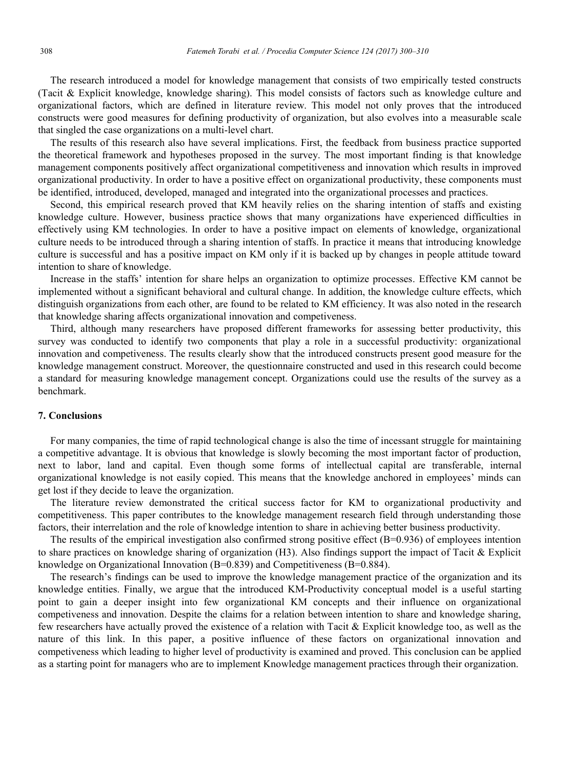The research introduced a model for knowledge management that consists of two empirically tested constructs (Tacit & Explicit knowledge, knowledge sharing). This model consists of factors such as knowledge culture and organizational factors, which are defined in literature review. This model not only proves that the introduced constructs were good measures for defining productivity of organization, but also evolves into a measurable scale that singled the case organizations on a multi-level chart.

The results of this research also have several implications. First, the feedback from business practice supported the theoretical framework and hypotheses proposed in the survey. The most important finding is that knowledge management components positively affect organizational competitiveness and innovation which results in improved organizational productivity. In order to have a positive effect on organizational productivity, these components must be identified, introduced, developed, managed and integrated into the organizational processes and practices.

Second, this empirical research proved that KM heavily relies on the sharing intention of staffs and existing knowledge culture. However, business practice shows that many organizations have experienced difficulties in effectively using KM technologies. In order to have a positive impact on elements of knowledge, organizational culture needs to be introduced through a sharing intention of staffs. In practice it means that introducing knowledge culture is successful and has a positive impact on KM only if it is backed up by changes in people attitude toward intention to share of knowledge.

Increase in the staffs' intention for share helps an organization to optimize processes. Effective KM cannot be implemented without a significant behavioral and cultural change. In addition, the knowledge culture effects, which distinguish organizations from each other, are found to be related to KM efficiency. It was also noted in the research that knowledge sharing affects organizational innovation and competiveness.

Third, although many researchers have proposed different frameworks for assessing better productivity, this survey was conducted to identify two components that play a role in a successful productivity: organizational innovation and competiveness. The results clearly show that the introduced constructs present good measure for the knowledge management construct. Moreover, the questionnaire constructed and used in this research could become a standard for measuring knowledge management concept. Organizations could use the results of the survey as a benchmark.

## **7. Conclusions**

For many companies, the time of rapid technological change is also the time of incessant struggle for maintaining a competitive advantage. It is obvious that knowledge is slowly becoming the most important factor of production, next to labor, land and capital. Even though some forms of intellectual capital are transferable, internal organizational knowledge is not easily copied. This means that the knowledge anchored in employees' minds can get lost if they decide to leave the organization.

The literature review demonstrated the critical success factor for KM to organizational productivity and competitiveness. This paper contributes to the knowledge management research field through understanding those factors, their interrelation and the role of knowledge intention to share in achieving better business productivity.

The results of the empirical investigation also confirmed strong positive effect  $(B=0.936)$  of employees intention to share practices on knowledge sharing of organization (H3). Also findings support the impact of Tacit & Explicit knowledge on Organizational Innovation (B=0.839) and Competitiveness (B=0.884).

The research's findings can be used to improve the knowledge management practice of the organization and its knowledge entities. Finally, we argue that the introduced KM-Productivity conceptual model is a useful starting point to gain a deeper insight into few organizational KM concepts and their influence on organizational competiveness and innovation. Despite the claims for a relation between intention to share and knowledge sharing, few researchers have actually proved the existence of a relation with Tacit & Explicit knowledge too, as well as the nature of this link. In this paper, a positive influence of these factors on organizational innovation and competiveness which leading to higher level of productivity is examined and proved. This conclusion can be applied as a starting point for managers who are to implement Knowledge management practices through their organization.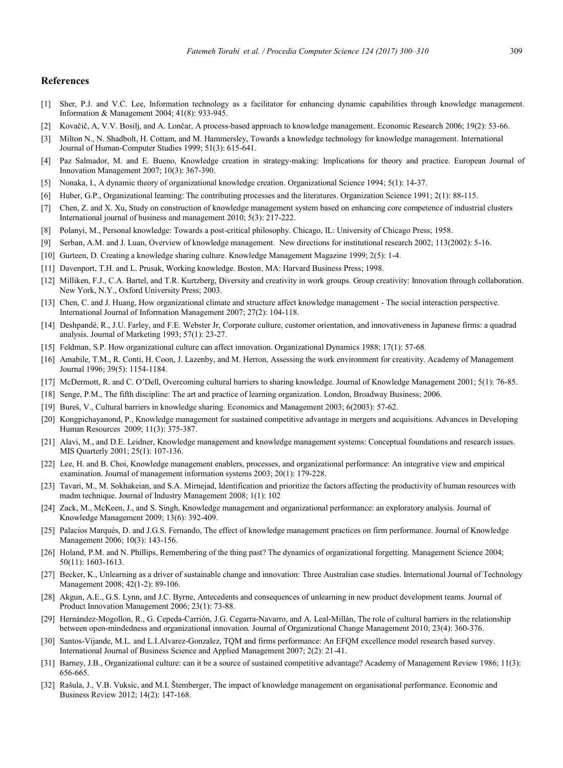#### **References**

- [1] Sher, P.J. and V.C. Lee, Information technology as a facilitator for enhancing dynamic capabilities through knowledge management. Information & Management 2004; 41(8): 933-945.
- [2] Kovačič, A, V.V. Bosilj, and A. Lončar, A process-based approach to knowledge management. Economic Research 2006; 19(2): 53-66.
- [3] Milton N., N. Shadbolt, H. Cottam, and M. Hammersley, Towards a knowledge technology for knowledge management. International Journal of Human-Computer Studies 1999; 51(3): 615-641.
- [4] Paz Salmador, M. and E. Bueno, Knowledge creation in strategy-making: Implications for theory and practice. European Journal of Innovation Management 2007; 10(3): 367-390.
- [5] Nonaka, I., A dynamic theory of organizational knowledge creation. Organizational Science 1994; 5(1): 14-37.
- [6] Huber, G.P., Organizational learning: The contributing processes and the literatures. Organization Science 1991; 2(1): 88-115.
- [7] Chen, Z. and X. Xu, Study on construction of knowledge management system based on enhancing core competence of industrial clusters International journal of business and management 2010; 5(3): 217-222.
- [8] Polanyi, M., Personal knowledge: Towards a post-critical philosophy. Chicago, IL: University of Chicago Press; 1958.
- [9] Serban, A.M. and J. Luan, Overview of knowledge management. New directions for institutional research 2002; 113(2002): 5-16.
- [10] Gurteen, D. Creating a knowledge sharing culture. Knowledge Management Magazine 1999; 2(5): 1-4.
- [11] Davenport, T.H. and L. Prusak, Working knowledge. Boston, MA: Harvard Business Press; 1998.
- [12] Milliken, F.J., C.A. Bartel, and T.R. Kurtzberg, Diversity and creativity in work groups. Group creativity: Innovation through collaboration. New York, N.Y., Oxford University Press; 2003.
- [13] Chen, C. and J. Huang, How organizational climate and structure affect knowledge management The social interaction perspective. International Journal of Information Management 2007; 27(2): 104-118.
- [14] Deshpandé, R., J.U. Farley, and F.E. Webster Jr, Corporate culture, customer orientation, and innovativeness in Japanese firms: a quadrad analysis. Journal of Marketing 1993; 57(1): 23-27.
- [15] Feldman, S.P. How organizational culture can affect innovation. Organizational Dynamics 1988; 17(1): 57-68.
- [16] Amabile, T.M., R. Conti, H. Coon, J. Lazenby, and M. Herron, Assessing the work environment for creativity. Academy of Management Journal 1996; 39(5): 1154-1184.
- [17] McDermott, R. and C. O'Dell, Overcoming cultural barriers to sharing knowledge. Journal of Knowledge Management 2001; 5(1): 76-85.
- [18] Senge, P.M., The fifth discipline: The art and practice of learning organization. London, Broadway Business; 2006.
- [19] Bureš, V., Cultural barriers in knowledge sharing. Economics and Management 2003; 6(2003): 57-62.
- [20] Kongpichayanond, P., Knowledge management for sustained competitive advantage in mergers and acquisitions. Advances in Developing Human Resources 2009; 11(3): 375-387.
- [21] Alavi, M., and D.E. Leidner, Knowledge management and knowledge management systems: Conceptual foundations and research issues. MIS Quarterly 2001; 25(1): 107-136.
- [22] Lee, H. and B. Choi, Knowledge management enablers, processes, and organizational performance: An integrative view and empirical examination. Journal of management information systems 2003; 20(1): 179-228.
- [23] Tavari, M., M. Sokhakeian, and S.A. Mirnejad, Identification and prioritize the factors affecting the productivity of human resources with madm technique. Journal of Industry Management 2008; 1(1): 102
- [24] Zack, M., McKeen, J., and S. Singh, Knowledge management and organizational performance: an exploratory analysis. Journal of Knowledge Management 2009; 13(6): 392-409.
- [25] Palacios Marqués, D. and J.G.S. Fernando, The effect of knowledge management practices on firm performance. Journal of Knowledge Management 2006; 10(3): 143-156.
- [26] Holand, P.M. and N. Phillips, Remembering of the thing past? The dynamics of organizational forgetting. Management Science 2004; 50(11): 1603-1613.
- [27] Becker, K., Unlearning as a driver of sustainable change and innovation: Three Australian case studies. International Journal of Technology Management 2008; 42(1-2): 89-106.
- [28] Akgun, A.E., G.S. Lynn, and J.C. Byrne, Antecedents and consequences of unlearning in new product development teams. Journal of Product Innovation Management 2006; 23(1): 73-88.
- [29] Hernández-Mogollon, R., G. Cepeda-Carrión, J.G. Cegarra-Navarro, and A. Leal-Millán, The role of cultural barriers in the relationship between open-mindedness and organizational innovation. Journal of Organizational Change Management 2010; 23(4): 360-376.
- [30] Santos-Vijande, M.L. and L.I.Alvarez-Gonzalez, TQM and firms performance: An EFQM excellence model research based survey. International Journal of Business Science and Applied Management 2007; 2(2): 21-41.
- [31] Barney, J.B., Organizational culture: can it be a source of sustained competitive advantage? Academy of Management Review 1986; 11(3): 656-665.
- [32] Rašula, J., V.B. Vuksic, and M.I. Štemberger, The impact of knowledge management on organisational performance. Economic and Business Review 2012; 14(2): 147-168.